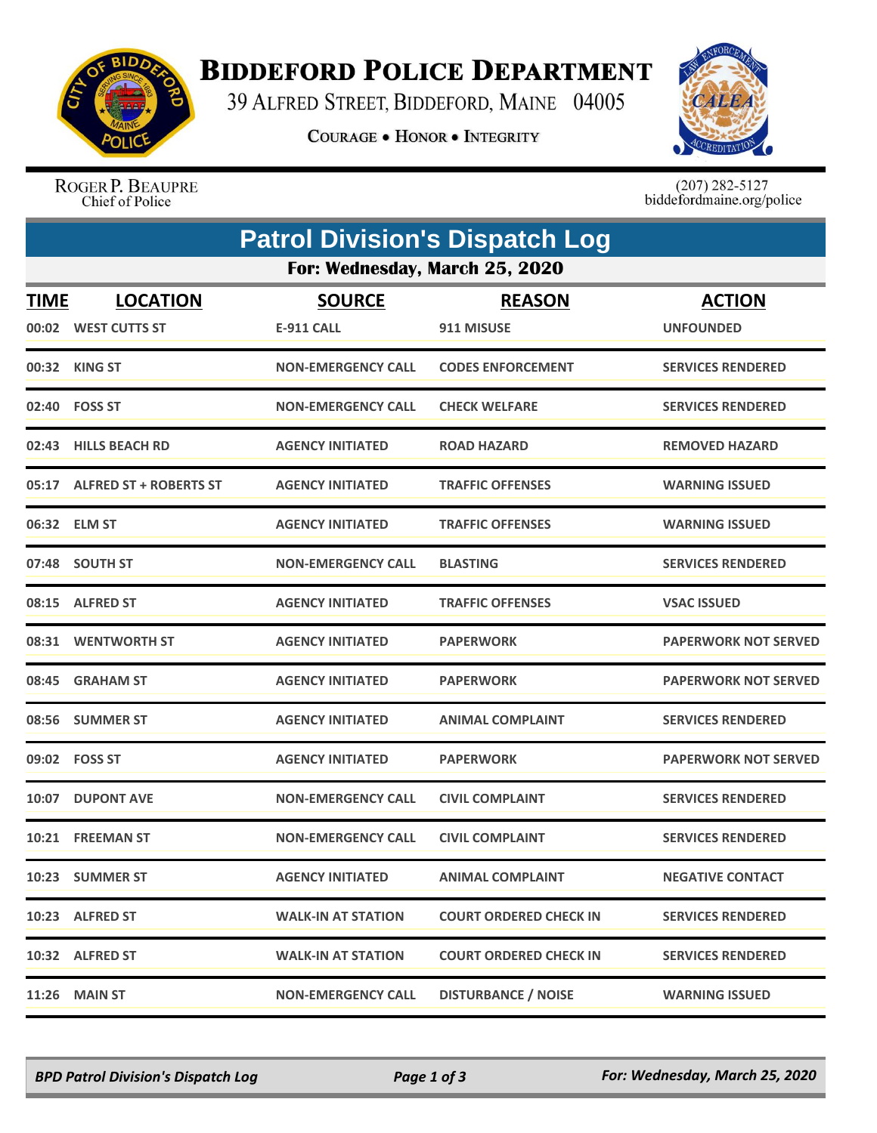

## **BIDDEFORD POLICE DEPARTMENT**

39 ALFRED STREET, BIDDEFORD, MAINE 04005

**COURAGE . HONOR . INTEGRITY** 



ROGER P. BEAUPRE Chief of Police

 $(207)$  282-5127<br>biddefordmaine.org/police

|                                | <b>Patrol Division's Dispatch Log</b>  |                                    |                               |                                   |  |  |  |  |
|--------------------------------|----------------------------------------|------------------------------------|-------------------------------|-----------------------------------|--|--|--|--|
| For: Wednesday, March 25, 2020 |                                        |                                    |                               |                                   |  |  |  |  |
| <b>TIME</b>                    | <b>LOCATION</b><br>00:02 WEST CUTTS ST | <b>SOURCE</b><br><b>E-911 CALL</b> | <b>REASON</b><br>911 MISUSE   | <b>ACTION</b><br><b>UNFOUNDED</b> |  |  |  |  |
|                                | 00:32 KING ST                          | <b>NON-EMERGENCY CALL</b>          | <b>CODES ENFORCEMENT</b>      | <b>SERVICES RENDERED</b>          |  |  |  |  |
|                                | 02:40 FOSS ST                          | <b>NON-EMERGENCY CALL</b>          | <b>CHECK WELFARE</b>          | <b>SERVICES RENDERED</b>          |  |  |  |  |
| 02:43                          | <b>HILLS BEACH RD</b>                  | <b>AGENCY INITIATED</b>            | <b>ROAD HAZARD</b>            | <b>REMOVED HAZARD</b>             |  |  |  |  |
|                                | 05:17 ALFRED ST + ROBERTS ST           | <b>AGENCY INITIATED</b>            | <b>TRAFFIC OFFENSES</b>       | <b>WARNING ISSUED</b>             |  |  |  |  |
|                                | 06:32 ELM ST                           | <b>AGENCY INITIATED</b>            | <b>TRAFFIC OFFENSES</b>       | <b>WARNING ISSUED</b>             |  |  |  |  |
|                                | 07:48 SOUTH ST                         | <b>NON-EMERGENCY CALL</b>          | <b>BLASTING</b>               | <b>SERVICES RENDERED</b>          |  |  |  |  |
|                                | 08:15 ALFRED ST                        | <b>AGENCY INITIATED</b>            | <b>TRAFFIC OFFENSES</b>       | <b>VSAC ISSUED</b>                |  |  |  |  |
|                                | 08:31 WENTWORTH ST                     | <b>AGENCY INITIATED</b>            | <b>PAPERWORK</b>              | <b>PAPERWORK NOT SERVED</b>       |  |  |  |  |
|                                | 08:45 GRAHAM ST                        | <b>AGENCY INITIATED</b>            | <b>PAPERWORK</b>              | <b>PAPERWORK NOT SERVED</b>       |  |  |  |  |
| 08:56                          | <b>SUMMER ST</b>                       | <b>AGENCY INITIATED</b>            | <b>ANIMAL COMPLAINT</b>       | <b>SERVICES RENDERED</b>          |  |  |  |  |
|                                | 09:02 FOSS ST                          | <b>AGENCY INITIATED</b>            | <b>PAPERWORK</b>              | <b>PAPERWORK NOT SERVED</b>       |  |  |  |  |
|                                | 10:07 DUPONT AVE                       | <b>NON-EMERGENCY CALL</b>          | <b>CIVIL COMPLAINT</b>        | <b>SERVICES RENDERED</b>          |  |  |  |  |
|                                | 10:21 FREEMAN ST                       | <b>NON-EMERGENCY CALL</b>          | <b>CIVIL COMPLAINT</b>        | <b>SERVICES RENDERED</b>          |  |  |  |  |
|                                | 10:23 SUMMER ST                        | <b>AGENCY INITIATED</b>            | <b>ANIMAL COMPLAINT</b>       | <b>NEGATIVE CONTACT</b>           |  |  |  |  |
|                                | 10:23 ALFRED ST                        | <b>WALK-IN AT STATION</b>          | <b>COURT ORDERED CHECK IN</b> | <b>SERVICES RENDERED</b>          |  |  |  |  |
|                                | 10:32 ALFRED ST                        | <b>WALK-IN AT STATION</b>          | <b>COURT ORDERED CHECK IN</b> | <b>SERVICES RENDERED</b>          |  |  |  |  |
|                                | <b>11:26 MAIN ST</b>                   | <b>NON-EMERGENCY CALL</b>          | <b>DISTURBANCE / NOISE</b>    | <b>WARNING ISSUED</b>             |  |  |  |  |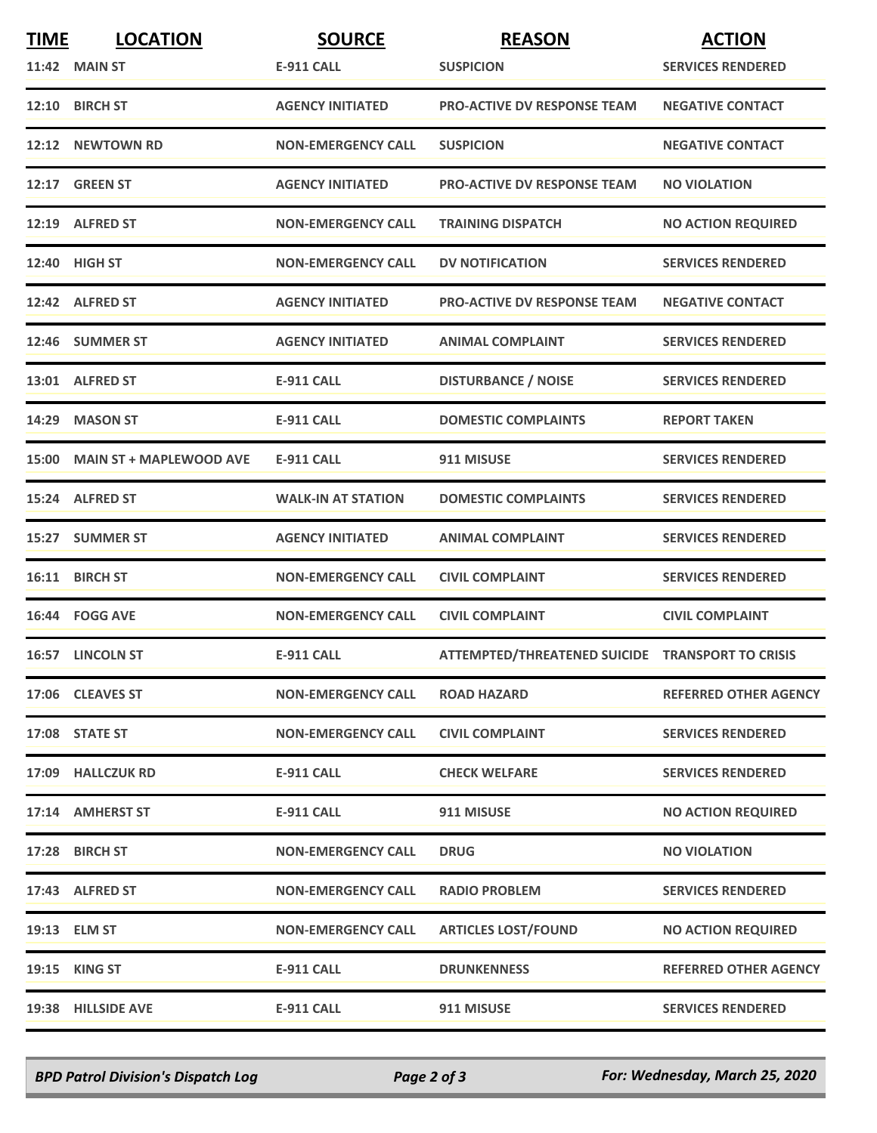| <b>TIME</b> | <b>LOCATION</b>               | <b>SOURCE</b>             | <b>REASON</b>                                    | <b>ACTION</b>                |
|-------------|-------------------------------|---------------------------|--------------------------------------------------|------------------------------|
|             | <b>11:42 MAIN ST</b>          | <b>E-911 CALL</b>         | <b>SUSPICION</b>                                 | <b>SERVICES RENDERED</b>     |
|             | 12:10 BIRCH ST                | <b>AGENCY INITIATED</b>   | <b>PRO-ACTIVE DV RESPONSE TEAM</b>               | <b>NEGATIVE CONTACT</b>      |
| 12:12       | <b>NEWTOWN RD</b>             | <b>NON-EMERGENCY CALL</b> | <b>SUSPICION</b>                                 | <b>NEGATIVE CONTACT</b>      |
|             | <b>12:17 GREEN ST</b>         | <b>AGENCY INITIATED</b>   | <b>PRO-ACTIVE DV RESPONSE TEAM</b>               | <b>NO VIOLATION</b>          |
|             | 12:19 ALFRED ST               | <b>NON-EMERGENCY CALL</b> | <b>TRAINING DISPATCH</b>                         | <b>NO ACTION REQUIRED</b>    |
|             | 12:40 HIGH ST                 | <b>NON-EMERGENCY CALL</b> | <b>DV NOTIFICATION</b>                           | <b>SERVICES RENDERED</b>     |
|             | 12:42 ALFRED ST               | <b>AGENCY INITIATED</b>   | <b>PRO-ACTIVE DV RESPONSE TEAM</b>               | <b>NEGATIVE CONTACT</b>      |
|             | 12:46 SUMMER ST               | <b>AGENCY INITIATED</b>   | <b>ANIMAL COMPLAINT</b>                          | <b>SERVICES RENDERED</b>     |
|             | 13:01 ALFRED ST               | <b>E-911 CALL</b>         | <b>DISTURBANCE / NOISE</b>                       | <b>SERVICES RENDERED</b>     |
| 14:29       | <b>MASON ST</b>               | <b>E-911 CALL</b>         | <b>DOMESTIC COMPLAINTS</b>                       | <b>REPORT TAKEN</b>          |
|             | 15:00 MAIN ST + MAPLEWOOD AVE | <b>E-911 CALL</b>         | 911 MISUSE                                       | <b>SERVICES RENDERED</b>     |
|             | 15:24 ALFRED ST               | <b>WALK-IN AT STATION</b> | <b>DOMESTIC COMPLAINTS</b>                       | <b>SERVICES RENDERED</b>     |
| 15:27       | <b>SUMMER ST</b>              | <b>AGENCY INITIATED</b>   | <b>ANIMAL COMPLAINT</b>                          | <b>SERVICES RENDERED</b>     |
|             | 16:11 BIRCH ST                | <b>NON-EMERGENCY CALL</b> | <b>CIVIL COMPLAINT</b>                           | <b>SERVICES RENDERED</b>     |
|             | 16:44 FOGG AVE                | <b>NON-EMERGENCY CALL</b> | <b>CIVIL COMPLAINT</b>                           | <b>CIVIL COMPLAINT</b>       |
|             | 16:57 LINCOLN ST              | <b>E-911 CALL</b>         | ATTEMPTED/THREATENED SUICIDE TRANSPORT TO CRISIS |                              |
|             | 17:06 CLEAVES ST              | <b>NON-EMERGENCY CALL</b> | <b>ROAD HAZARD</b>                               | <b>REFERRED OTHER AGENCY</b> |
|             | 17:08 STATE ST                | <b>NON-EMERGENCY CALL</b> | <b>CIVIL COMPLAINT</b>                           | <b>SERVICES RENDERED</b>     |
|             | 17:09 HALLCZUK RD             | <b>E-911 CALL</b>         | <b>CHECK WELFARE</b>                             | <b>SERVICES RENDERED</b>     |
|             | 17:14 AMHERST ST              | E-911 CALL                | 911 MISUSE                                       | <b>NO ACTION REQUIRED</b>    |
|             | 17:28 BIRCH ST                | <b>NON-EMERGENCY CALL</b> | <b>DRUG</b>                                      | <b>NO VIOLATION</b>          |
|             | 17:43 ALFRED ST               | <b>NON-EMERGENCY CALL</b> | <b>RADIO PROBLEM</b>                             | <b>SERVICES RENDERED</b>     |
|             | 19:13 ELM ST                  | <b>NON-EMERGENCY CALL</b> | <b>ARTICLES LOST/FOUND</b>                       | <b>NO ACTION REQUIRED</b>    |
|             | <b>19:15 KING ST</b>          | <b>E-911 CALL</b>         | <b>DRUNKENNESS</b>                               | <b>REFERRED OTHER AGENCY</b> |
|             | 19:38 HILLSIDE AVE            | <b>E-911 CALL</b>         | 911 MISUSE                                       | <b>SERVICES RENDERED</b>     |

*BPD Patrol Division's Dispatch Log Page 2 of 3 For: Wednesday, March 25, 2020*